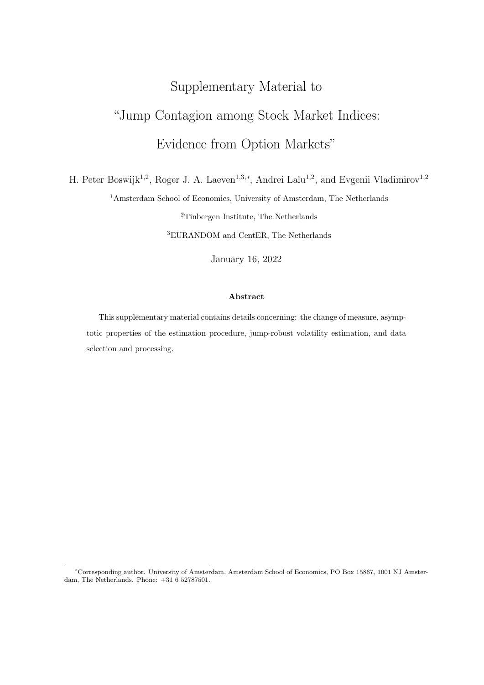# Supplementary Material to

# "Jump Contagion among Stock Market Indices: Evidence from Option Markets"

H. Peter Boswijk<sup>1,2</sup>, Roger J. A. Laeven<sup>1,3,\*</sup>, Andrei Lalu<sup>1,2</sup>, and Evgenii Vladimirov<sup>1,2</sup>

<sup>1</sup>Amsterdam School of Economics, University of Amsterdam, The Netherlands

<sup>2</sup>Tinbergen Institute, The Netherlands <sup>3</sup>EURANDOM and CentER, The Netherlands

January 16, 2022

#### Abstract

This supplementary material contains details concerning: the change of measure, asymptotic properties of the estimation procedure, jump-robust volatility estimation, and data selection and processing.

<sup>∗</sup>Corresponding author. University of Amsterdam, Amsterdam School of Economics, PO Box 15867, 1001 NJ Amsterdam, The Netherlands. Phone: +31 6 52787501.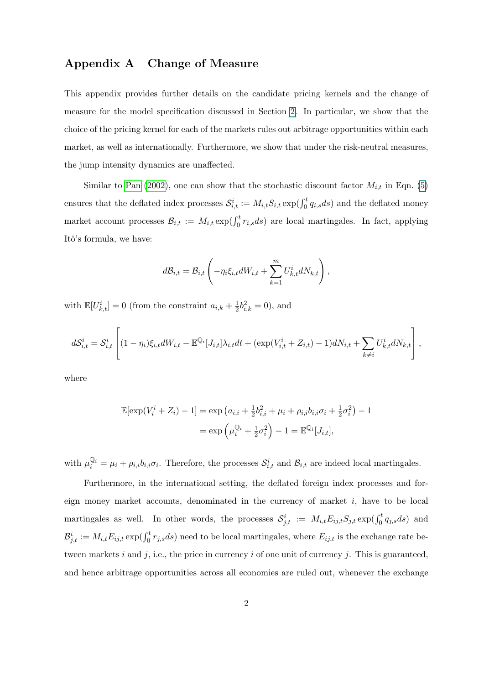# Appendix A Change of Measure

This appendix provides further details on the candidate pricing kernels and the change of measure for the model specification discussed in Section 2. In particular, we show that the choice of the pricing kernel for each of the markets rules out arbitrage opportunities within each market, as well as internationally. Furthermore, we show that under the risk-neutral measures, the jump intensity dynamics are unaffected.

Similar to [Pan](#page-17-0) [\(2002\)](#page-17-0), one can show that the stochastic discount factor  $M_{i,t}$  in Eqn. (5) ensures that the deflated index processes  $S_{i,t}^i := M_{i,t} S_{i,t} \exp(\int_0^t q_{i,s} ds)$  and the deflated money market account processes  $\mathcal{B}_{i,t} := M_{i,t} \exp(\int_0^t r_{i,s} ds)$  are local martingales. In fact, applying Itô's formula, we have:

$$
d\mathcal{B}_{i,t} = \mathcal{B}_{i,t} \left( -\eta_i \xi_{i,t} dW_{i,t} + \sum_{k=1}^m U_{k,t}^i dN_{k,t} \right),
$$

with  $\mathbb{E}[U_{k,t}^i]=0$  (from the constraint  $a_{i,k}+\frac{1}{2}$  $\frac{1}{2}b_{i,k}^2 = 0$ , and

$$
dS_{i,t}^{i} = S_{i,t}^{i} \left[ (1 - \eta_i) \xi_{i,t} dW_{i,t} - \mathbb{E}^{\mathbb{Q}_i}[J_{i,t}] \lambda_{i,t} dt + (\exp(V_{i,t}^{i} + Z_{i,t}) - 1) dN_{i,t} + \sum_{k \neq i} U_{k,t}^{i} dN_{k,t} \right],
$$

where

$$
\mathbb{E}[\exp(V_i^i + Z_i) - 1] = \exp (a_{i,i} + \frac{1}{2}b_{i,i}^2 + \mu_i + \rho_{i,i}b_{i,i}\sigma_i + \frac{1}{2}\sigma_i^2) - 1
$$
  
= 
$$
\exp \left(\mu_i^{\mathbb{Q}_i} + \frac{1}{2}\sigma_i^2\right) - 1 = \mathbb{E}^{\mathbb{Q}_i}[J_{i,t}],
$$

with  $\mu_i^{\mathbb{Q}_i} = \mu_i + \rho_{i,i} b_{i,i} \sigma_i$ . Therefore, the processes  $\mathcal{S}_{i,t}^i$  and  $\mathcal{B}_{i,t}$  are indeed local martingales.

Furthermore, in the international setting, the deflated foreign index processes and foreign money market accounts, denominated in the currency of market i, have to be local martingales as well. In other words, the processes  $S^i_{j,t} := M_{i,t} E_{ij,t} S_{j,t} \exp(\int_0^t q_{j,s} ds)$  and  $\mathcal{B}^i_{j,t} := M_{i,t} E_{ij,t} \exp(\int_0^t r_{j,s} ds)$  need to be local martingales, where  $E_{ij,t}$  is the exchange rate between markets i and j, i.e., the price in currency i of one unit of currency j. This is guaranteed, and hence arbitrage opportunities across all economies are ruled out, whenever the exchange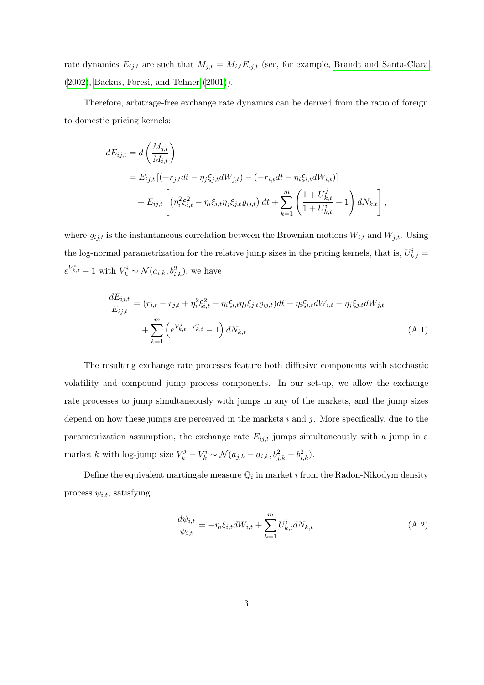rate dynamics  $E_{ij,t}$  are such that  $M_{j,t} = M_{i,t} E_{ij,t}$  (see, for example, [Brandt and Santa-Clara](#page-17-1) [\(2002\)](#page-17-1), [Backus, Foresi, and Telmer](#page-17-2) [\(2001\)](#page-17-2)).

Therefore, arbitrage-free exchange rate dynamics can be derived from the ratio of foreign to domestic pricing kernels:

$$
dE_{ij,t} = d\left(\frac{M_{j,t}}{M_{i,t}}\right)
$$
  
=  $E_{ij,t} [(-r_{j,t}dt - \eta_j \xi_{j,t}dW_{j,t}) - (-r_{i,t}dt - \eta_i \xi_{i,t}dW_{i,t})]$   
+  $E_{ij,t} \left[ (\eta_i^2 \xi_{i,t}^2 - \eta_i \xi_{i,t} \eta_j \xi_{j,t} \varrho_{ij,t}) dt + \sum_{k=1}^m \left( \frac{1 + U_{k,t}^j}{1 + U_{k,t}^i} - 1 \right) dN_{k,t} \right],$ 

where  $\varrho_{ij,t}$  is the instantaneous correlation between the Brownian motions  $W_{i,t}$  and  $W_{j,t}$ . Using the log-normal parametrization for the relative jump sizes in the pricing kernels, that is,  $U_{k,t}^{i} =$  $e^{V_{k,t}^i} - 1$  with  $V_k^i \sim \mathcal{N}(a_{i,k}, b_{i,k}^2)$ , we have

$$
\frac{dE_{ij,t}}{E_{ij,t}} = (r_{i,t} - r_{j,t} + \eta_i^2 \xi_{i,t}^2 - \eta_i \xi_{i,t} \eta_j \xi_{j,t} \varrho_{ij,t}) dt + \eta_i \xi_{i,t} dW_{i,t} - \eta_j \xi_{j,t} dW_{j,t} \n+ \sum_{k=1}^m \left( e^{V_{k,t}^j - V_{k,t}^i} - 1 \right) dN_{k,t}.
$$
\n(A.1)

The resulting exchange rate processes feature both diffusive components with stochastic volatility and compound jump process components. In our set-up, we allow the exchange rate processes to jump simultaneously with jumps in any of the markets, and the jump sizes depend on how these jumps are perceived in the markets  $i$  and  $j$ . More specifically, due to the parametrization assumption, the exchange rate  $E_{ij,t}$  jumps simultaneously with a jump in a market k with log-jump size  $V_k^j - V_k^i \sim \mathcal{N}(a_{j,k} - a_{i,k}, b_{j,k}^2 - b_{i,k}^2)$ .

Define the equivalent martingale measure  $\mathbb{Q}_i$  in market i from the Radon-Nikodym density process  $\psi_{i,t}$ , satisfying

$$
\frac{d\psi_{i,t}}{\psi_{i,t}} = -\eta_i \xi_{i,t} dW_{i,t} + \sum_{k=1}^{m} U_{k,t}^i dN_{k,t}.
$$
\n(A.2)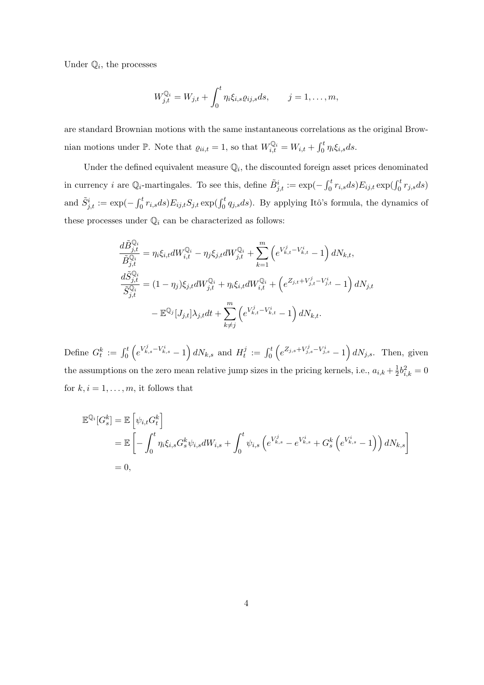Under  $\mathbb{Q}_i$ , the processes

$$
W_{j,t}^{\mathbb{Q}_i}=W_{j,t}+\int_0^t \eta_i\xi_{i,s}\varrho_{ij,s}ds, \qquad j=1,\ldots,m,
$$

are standard Brownian motions with the same instantaneous correlations as the original Brownian motions under  $\mathbb{P}$ . Note that  $\varrho_{ii,t} = 1$ , so that  $W_{i,t}^{\mathbb{Q}_i} = W_{i,t} + \int_0^t \eta_i \xi_{i,s} ds$ .

Under the defined equivalent measure  $\mathbb{Q}_i$ , the discounted foreign asset prices denominated in currency *i* are  $\mathbb{Q}_i$ -martingales. To see this, define  $\tilde{B}^i_{j,t} := \exp(-\int_0^t r_{i,s} ds) E_{ij,t} \exp(\int_0^t r_{j,s} ds)$ and  $\tilde{S}^i_{j,t} := \exp(-\int_0^t r_{i,s}ds) E_{ij,t} S_{j,t} \exp(\int_0^t q_{j,s}ds)$ . By applying Itô's formula, the dynamics of these processes under  $\mathbb{Q}_i$  can be characterized as follows:

$$
\frac{d\tilde{B}_{j,t}^{\mathbb{Q}_i}}{\tilde{B}_{j,t}^{\mathbb{Q}_i}} = \eta_i \xi_{i,t} dW_{i,t}^{\mathbb{Q}_i} - \eta_j \xi_{j,t} dW_{j,t}^{\mathbb{Q}_i} + \sum_{k=1}^m \left( e^{V_{k,t}^j - V_{k,t}^i} - 1 \right) dN_{k,t},
$$
\n
$$
\frac{d\tilde{S}_{j,t}^{\mathbb{Q}_i}}{\tilde{S}_{j,t}^{\mathbb{Q}_i}} = (1 - \eta_j) \xi_{j,t} dW_{j,t}^{\mathbb{Q}_i} + \eta_i \xi_{i,t} dW_{i,t}^{\mathbb{Q}_i} + \left( e^{Z_{j,t} + V_{j,t}^j - V_{j,t}^i} - 1 \right) dN_{j,t}
$$
\n
$$
- \mathbb{E}^{\mathbb{Q}_j} [J_{j,t}] \lambda_{j,t} dt + \sum_{k \neq j}^m \left( e^{V_{k,t}^j - V_{k,t}^i} - 1 \right) dN_{k,t}.
$$

Define  $G_t^k := \int_0^t \left( e^{V_{k,s}^j - V_{k,s}^i} - 1 \right) dN_{k,s}$  and  $H_t^j$  $t_i^j := \int_0^t \left( e^{Z_{j,s} + V_{j,s}^j - V_{j,s}^i} - 1 \right) dN_{j,s}.$  Then, given the assumptions on the zero mean relative jump sizes in the pricing kernels, i.e.,  $a_{i,k} + \frac{1}{2}$  $\frac{1}{2}b_{i,k}^2 = 0$ for  $k, i = 1, \ldots, m$ , it follows that

$$
\mathbb{E}^{\mathbb{Q}_i}[G_s^k] = \mathbb{E}\left[\psi_{i,t}G_t^k\right] \n= \mathbb{E}\left[-\int_0^t \eta_i \xi_{i,s}G_s^k \psi_{i,s}dW_{i,s} + \int_0^t \psi_{i,s}\left(e^{V_{k,s}^j} - e^{V_{k,s}^i} + G_s^k\left(e^{V_{k,s}^i} - 1\right)\right)dN_{k,s}\right] \n= 0,
$$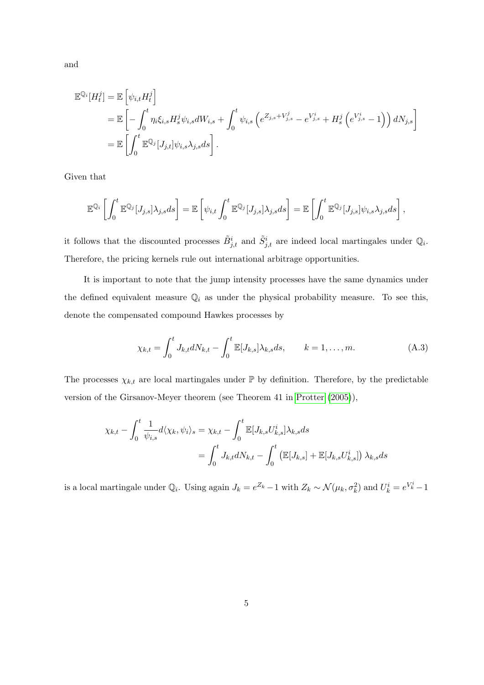$$
\mathbb{E}^{\mathbb{Q}_i}[H_t^j] = \mathbb{E} \left[ \psi_{i,t} H_t^j \right] \n= \mathbb{E} \left[ - \int_0^t \eta_i \xi_{i,s} H_s^j \psi_{i,s} dW_{i,s} + \int_0^t \psi_{i,s} \left( e^{Z_{j,s} + V_{j,s}^j} - e^{V_{j,s}^i} + H_s^j \left( e^{V_{j,s}^i} - 1 \right) \right) dN_{j,s} \right] \n= \mathbb{E} \left[ \int_0^t \mathbb{E}^{\mathbb{Q}_j} [J_{j,t}] \psi_{i,s} \lambda_{j,s} ds \right].
$$

Given that

$$
\mathbb{E}^{\mathbb{Q}_i}\left[\int_0^t \mathbb{E}^{\mathbb{Q}_j}[J_{j,s}]\lambda_{j,s}ds\right] = \mathbb{E}\left[\psi_{i,t}\int_0^t \mathbb{E}^{\mathbb{Q}_j}[J_{j,s}]\lambda_{j,s}ds\right] = \mathbb{E}\left[\int_0^t \mathbb{E}^{\mathbb{Q}_j}[J_{j,s}]\psi_{i,s}\lambda_{j,s}ds\right],
$$

it follows that the discounted processes  $\tilde{B}^i_{j,t}$  and  $\tilde{S}^i_{j,t}$  are indeed local martingales under  $\mathbb{Q}_i$ . Therefore, the pricing kernels rule out international arbitrage opportunities.

It is important to note that the jump intensity processes have the same dynamics under the defined equivalent measure  $\mathbb{Q}_i$  as under the physical probability measure. To see this, denote the compensated compound Hawkes processes by

$$
\chi_{k,t} = \int_0^t J_{k,t} dN_{k,t} - \int_0^t \mathbb{E}[J_{k,s}] \lambda_{k,s} ds, \qquad k = 1, \dots, m.
$$
 (A.3)

The processes  $\chi_{k,t}$  are local martingales under  $\mathbb P$  by definition. Therefore, by the predictable version of the Girsanov-Meyer theorem (see Theorem 41 in [Protter](#page-17-3) [\(2005\)](#page-17-3)),

$$
\chi_{k,t} - \int_0^t \frac{1}{\psi_{i,s}} d\langle \chi_k, \psi_i \rangle_s = \chi_{k,t} - \int_0^t \mathbb{E}[J_{k,s} U_{k,s}^i] \lambda_{k,s} ds
$$
  
= 
$$
\int_0^t J_{k,t} dN_{k,t} - \int_0^t \left( \mathbb{E}[J_{k,s}] + \mathbb{E}[J_{k,s} U_{k,s}^i] \right) \lambda_{k,s} ds
$$

is a local martingale under  $\mathbb{Q}_i$ . Using again  $J_k = e^{Z_k} - 1$  with  $Z_k \sim \mathcal{N}(\mu_k, \sigma_k^2)$  and  $U_k^i = e^{V_k^i} - 1$ 

and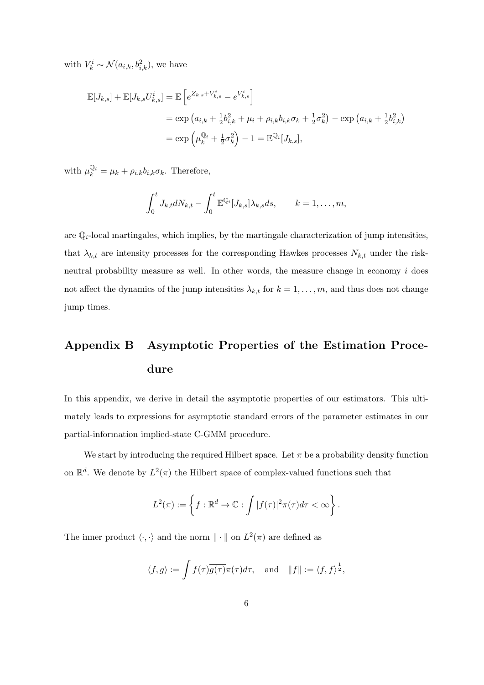with  $V_k^i \sim \mathcal{N}(a_{i,k}, b_{i,k}^2)$ , we have

$$
\mathbb{E}[J_{k,s}] + \mathbb{E}[J_{k,s}U_{k,s}^i] = \mathbb{E}\left[e^{Z_{k,s} + V_{k,s}^i} - e^{V_{k,s}^i}\right]
$$
  
=  $\exp(a_{i,k} + \frac{1}{2}b_{i,k}^2 + \mu_i + \rho_{i,k}b_{i,k}\sigma_k + \frac{1}{2}\sigma_k^2) - \exp(a_{i,k} + \frac{1}{2}b_{i,k}^2)$   
=  $\exp\left(\mu_k^{\mathbb{Q}_i} + \frac{1}{2}\sigma_k^2\right) - 1 = \mathbb{E}^{\mathbb{Q}_i}[J_{k,s}],$ 

with  $\mu_k^{\mathbb{Q}_i} = \mu_k + \rho_{i,k} b_{i,k} \sigma_k$ . Therefore,

$$
\int_0^t J_{k,t} dN_{k,t} - \int_0^t \mathbb{E}^{\mathbb{Q}_i}[J_{k,s}] \lambda_{k,s} ds, \qquad k = 1, \ldots, m,
$$

are  $\mathbb{Q}_i$ -local martingales, which implies, by the martingale characterization of jump intensities, that  $\lambda_{k,t}$  are intensity processes for the corresponding Hawkes processes  $N_{k,t}$  under the riskneutral probability measure as well. In other words, the measure change in economy  $i$  does not affect the dynamics of the jump intensities  $\lambda_{k,t}$  for  $k = 1, \ldots, m$ , and thus does not change jump times.

# Appendix B Asymptotic Properties of the Estimation Procedure

In this appendix, we derive in detail the asymptotic properties of our estimators. This ultimately leads to expressions for asymptotic standard errors of the parameter estimates in our partial-information implied-state C-GMM procedure.

We start by introducing the required Hilbert space. Let  $\pi$  be a probability density function on  $\mathbb{R}^d$ . We denote by  $L^2(\pi)$  the Hilbert space of complex-valued functions such that

$$
L^{2}(\pi) := \left\{ f : \mathbb{R}^{d} \to \mathbb{C} : \int |f(\tau)|^{2} \pi(\tau) d\tau < \infty \right\}.
$$

The inner product  $\langle \cdot, \cdot \rangle$  and the norm  $\|\cdot\|$  on  $L^2(\pi)$  are defined as

$$
\langle f, g \rangle := \int f(\tau) \overline{g(\tau)} \pi(\tau) d\tau
$$
, and  $||f|| := \langle f, f \rangle^{\frac{1}{2}}$ ,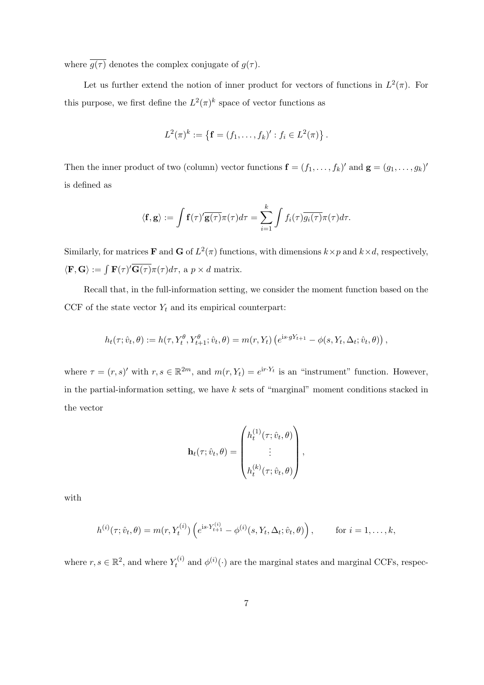where  $\overline{g(\tau)}$  denotes the complex conjugate of  $g(\tau)$ .

Let us further extend the notion of inner product for vectors of functions in  $L^2(\pi)$ . For this purpose, we first define the  $L^2(\pi)^k$  space of vector functions as

$$
L^{2}(\pi)^{k} := \{ \mathbf{f} = (f_{1}, \ldots, f_{k})' : f_{i} \in L^{2}(\pi) \}.
$$

Then the inner product of two (column) vector functions  $\mathbf{f} = (f_1, \ldots, f_k)'$  and  $\mathbf{g} = (g_1, \ldots, g_k)'$ is defined as

$$
\langle \mathbf{f}, \mathbf{g} \rangle := \int \mathbf{f}(\tau)' \overline{\mathbf{g}(\tau)} \pi(\tau) d\tau = \sum_{i=1}^k \int f_i(\tau) \overline{g_i(\tau)} \pi(\tau) d\tau.
$$

Similarly, for matrices **F** and **G** of  $L^2(\pi)$  functions, with dimensions  $k \times p$  and  $k \times d$ , respectively,  $\langle \mathbf{F}, \mathbf{G} \rangle := \int \mathbf{F}(\tau) \overline{\mathbf{G}(\tau)} \pi(\tau) d\tau$ , a  $p \times d$  matrix.

Recall that, in the full-information setting, we consider the moment function based on the CCF of the state vector  $Y_t$  and its empirical counterpart:

$$
h_t(\tau; \hat{v}_t, \theta) := h(\tau, Y_t^{\theta}, Y_{t+1}^{\theta}; \hat{v}_t, \theta) = m(r, Y_t) \left( e^{is \cdot gY_{t+1}} - \phi(s, Y_t, \Delta_t; \hat{v}_t, \theta) \right),
$$

where  $\tau = (r, s)'$  with  $r, s \in \mathbb{R}^{2m}$ , and  $m(r, Y_t) = e^{ir \cdot Y_t}$  is an "instrument" function. However, in the partial-information setting, we have  $k$  sets of "marginal" moment conditions stacked in the vector

$$
\mathbf{h}_t(\tau; \hat{v}_t, \theta) = \begin{pmatrix} h_t^{(1)}(\tau; \hat{v}_t, \theta) \\ \vdots \\ h_t^{(k)}(\tau; \hat{v}_t, \theta) \end{pmatrix},
$$

with

$$
h^{(i)}(\tau; \hat{v}_t, \theta) = m(r, Y_t^{(i)}) \left( e^{i s \cdot Y_{t+1}^{(i)}} - \phi^{(i)}(s, Y_t, \Delta_t; \hat{v}_t, \theta) \right), \quad \text{for } i = 1, \dots, k,
$$

where  $r, s \in \mathbb{R}^2$ , and where  $Y_t^{(i)}$  $t_t^{(i)}$  and  $\phi^{(i)}(\cdot)$  are the marginal states and marginal CCFs, respec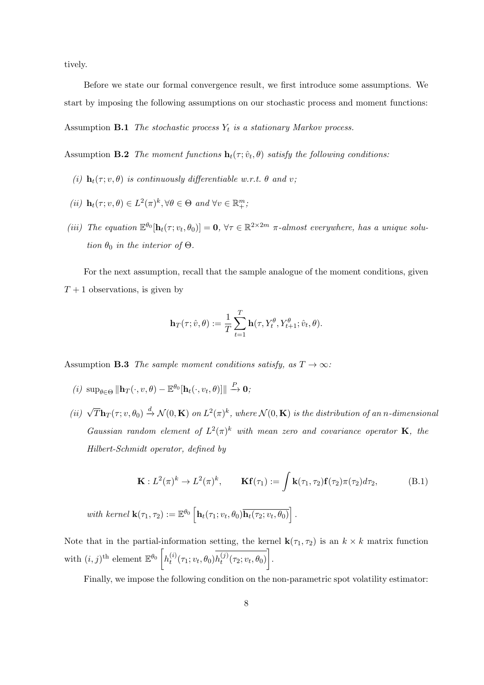tively.

Before we state our formal convergence result, we first introduce some assumptions. We start by imposing the following assumptions on our stochastic process and moment functions: Assumption **B.1** The stochastic process  $Y_t$  is a stationary Markov process.

Assumption **B.2** The moment functions  $\mathbf{h}_t(\tau; \hat{v}_t, \theta)$  satisfy the following conditions:

- (i)  $\mathbf{h}_t(\tau; v, \theta)$  is continuously differentiable w.r.t.  $\theta$  and v;
- (ii)  $\mathbf{h}_t(\tau; v, \theta) \in L^2(\pi)^k, \forall \theta \in \Theta \text{ and } \forall v \in \mathbb{R}_+^m,$
- (iii) The equation  $\mathbb{E}^{\theta_0}[\mathbf{h}_t(\tau; v_t, \theta_0)] = \mathbf{0}, \forall \tau \in \mathbb{R}^{2 \times 2m}$   $\pi$ -almost everywhere, has a unique solution  $\theta_0$  in the interior of  $\Theta$ .

For the next assumption, recall that the sample analogue of the moment conditions, given  $T+1$  observations, is given by

<span id="page-7-0"></span>
$$
\mathbf{h}_T(\tau; \hat{v}, \theta) := \frac{1}{T} \sum_{t=1}^T \mathbf{h}(\tau, Y_t^{\theta}, Y_{t+1}^{\theta}; \hat{v}_t, \theta).
$$

<span id="page-7-3"></span>Assumption **B.3** The sample moment conditions satisfy, as  $T \to \infty$ :

- $(i) \ \sup_{\theta \in \Theta} \|\mathbf{h}_T(\cdot,v,\theta) \mathbb{E}^{\theta_0}[\mathbf{h}_t(\cdot,v_t,\theta)]\| \xrightarrow{P} \mathbf{0};$
- (ii)  $\sqrt{T} \mathbf{h}_T(\tau; v, \theta_0) \stackrel{d}{\rightarrow} \mathcal{N}(0, \mathbf{K})$  on  $L^2(\pi)^k$ , where  $\mathcal{N}(0, \mathbf{K})$  is the distribution of an n-dimensional Gaussian random element of  $L^2(\pi)^k$  with mean zero and covariance operator **K**, the Hilbert-Schmidt operator, defined by

<span id="page-7-2"></span><span id="page-7-1"></span>
$$
\mathbf{K}: L^2(\pi)^k \to L^2(\pi)^k, \qquad \mathbf{Kf}(\tau_1) := \int \mathbf{k}(\tau_1, \tau_2) \mathbf{f}(\tau_2) \pi(\tau_2) d\tau_2, \tag{B.1}
$$

with kernel  $\mathbf{k}(\tau_1, \tau_2) := \mathbb{E}^{\theta_0} \left[ \mathbf{h}_t(\tau_1; v_t, \theta_0) \overline{\mathbf{h}_t(\tau_2; v_t, \theta_0)} \right].$ 

Note that in the partial-information setting, the kernel  $\mathbf{k}(\tau_1, \tau_2)$  is an  $k \times k$  matrix function with  $(i, j)$ <sup>th</sup> element  $\mathbb{E}^{\theta_0}$   $\left[ h_t^{(i)} \right]$  $_{t}^{(i)}(\tau_{1};v_{t},\theta_{0})h_{t}^{(j)}$  $\overline{\left(j\right)\left(\tau_{2};v_{t},\theta_{0}\right)}$ .

Finally, we impose the following condition on the non-parametric spot volatility estimator: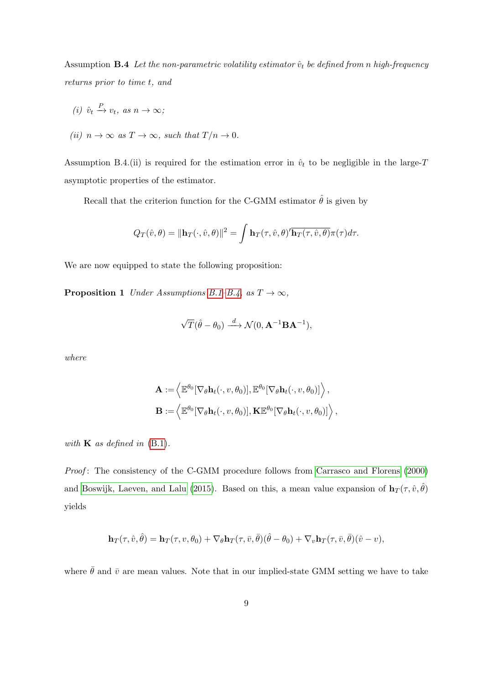Assumption **B.4** Let the non-parametric volatility estimator  $\hat{v}_t$  be defined from n high-frequency returns prior to time t, and

(i) 
$$
\hat{v}_t \xrightarrow{P} v_t
$$
, as  $n \to \infty$ ;  
(ii)  $n \to \infty$  as  $T \to \infty$ , such that  $T/n \to 0$ .

Assumption B.4.(ii) is required for the estimation error in  $\hat{v}_t$  to be negligible in the large-T asymptotic properties of the estimator.

Recall that the criterion function for the C-GMM estimator  $\hat{\theta}$  is given by

$$
Q_T(\hat{v}, \theta) = \|\mathbf{h}_T(\cdot, \hat{v}, \theta)\|^2 = \int \mathbf{h}_T(\tau, \hat{v}, \theta)' \overline{\mathbf{h}_T(\tau, \hat{v}, \theta)} \pi(\tau) d\tau.
$$

We are now equipped to state the following proposition:

**Proposition 1** Under Assumptions [B.1–](#page-7-0)[B.4,](#page-7-1) as  $T \to \infty$ ,

$$
\sqrt{T}(\hat{\theta} - \theta_0) \xrightarrow{d} \mathcal{N}(0, \mathbf{A}^{-1} \mathbf{B} \mathbf{A}^{-1}),
$$

where

$$
\mathbf{A} := \left\langle \mathbb{E}^{\theta_0} [\nabla_{\theta} \mathbf{h}_t(\cdot, v, \theta_0)], \mathbb{E}^{\theta_0} [\nabla_{\theta} \mathbf{h}_t(\cdot, v, \theta_0)] \right\rangle,
$$
  

$$
\mathbf{B} := \left\langle \mathbb{E}^{\theta_0} [\nabla_{\theta} \mathbf{h}_t(\cdot, v, \theta_0)], \mathbf{K} \mathbb{E}^{\theta_0} [\nabla_{\theta} \mathbf{h}_t(\cdot, v, \theta_0)] \right\rangle,
$$

with  $\bf{K}$  as defined in [\(B.1\)](#page-7-2).

Proof: The consistency of the C-GMM procedure follows from [Carrasco and Florens](#page-17-4) [\(2000\)](#page-17-4) and [Boswijk, Laeven, and Lalu](#page-17-5) [\(2015\)](#page-17-5). Based on this, a mean value expansion of  $\mathbf{h}_T(\tau, \hat{v}, \hat{\theta})$ yields

$$
\mathbf{h}_T(\tau,\hat{v},\hat{\theta})=\mathbf{h}_T(\tau, v, \theta_0)+\nabla_{\theta}\mathbf{h}_T(\tau, \bar{v}, \bar{\theta})(\hat{\theta}-\theta_0)+\nabla_{v}\mathbf{h}_T(\tau, \bar{v}, \bar{\theta})(\hat{v}-v),
$$

where  $\bar{\theta}$  and  $\bar{v}$  are mean values. Note that in our implied-state GMM setting we have to take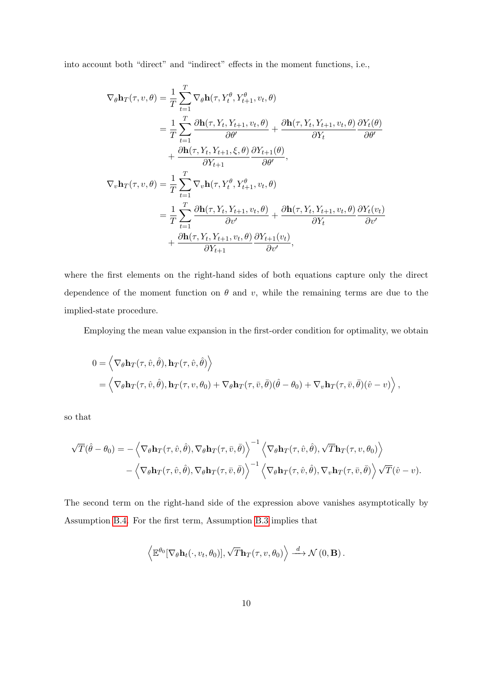into account both "direct" and "indirect" effects in the moment functions, i.e.,

$$
\nabla_{\theta} \mathbf{h}_{T}(\tau, v, \theta) = \frac{1}{T} \sum_{t=1}^{T} \nabla_{\theta} \mathbf{h}(\tau, Y_{t}^{\theta}, Y_{t+1}^{\theta}, v_{t}, \theta)
$$
  
\n
$$
= \frac{1}{T} \sum_{t=1}^{T} \frac{\partial \mathbf{h}(\tau, Y_{t}, Y_{t+1}, v_{t}, \theta)}{\partial \theta'} + \frac{\partial \mathbf{h}(\tau, Y_{t}, Y_{t+1}, v_{t}, \theta)}{\partial Y_{t}} \frac{\partial Y_{t}(\theta)}{\partial \theta'}
$$
  
\n
$$
+ \frac{\partial \mathbf{h}(\tau, Y_{t}, Y_{t+1}, \xi, \theta)}{\partial Y_{t+1}} \frac{\partial Y_{t+1}(\theta)}{\partial \theta'},
$$
  
\n
$$
\nabla_{v} \mathbf{h}_{T}(\tau, v, \theta) = \frac{1}{T} \sum_{t=1}^{T} \nabla_{v} \mathbf{h}(\tau, Y_{t}^{\theta}, Y_{t+1}^{\theta}, v_{t}, \theta)
$$
  
\n
$$
= \frac{1}{T} \sum_{t=1}^{T} \frac{\partial \mathbf{h}(\tau, Y_{t}, Y_{t+1}, v_{t}, \theta)}{\partial v'} + \frac{\partial \mathbf{h}(\tau, Y_{t}, Y_{t+1}, v_{t}, \theta)}{\partial Y_{t+1}} \frac{\partial Y_{t}(\theta)}{\partial v'}
$$
  
\n
$$
+ \frac{\partial \mathbf{h}(\tau, Y_{t}, Y_{t+1}, v_{t}, \theta)}{\partial Y_{t+1}} \frac{\partial Y_{t+1}(\theta)}{\partial v'},
$$

where the first elements on the right-hand sides of both equations capture only the direct dependence of the moment function on  $\theta$  and v, while the remaining terms are due to the implied-state procedure.

Employing the mean value expansion in the first-order condition for optimality, we obtain

$$
0 = \langle \nabla_{\theta} \mathbf{h}_{T}(\tau, \hat{v}, \hat{\theta}), \mathbf{h}_{T}(\tau, \hat{v}, \hat{\theta}) \rangle
$$
  
=  $\langle \nabla_{\theta} \mathbf{h}_{T}(\tau, \hat{v}, \hat{\theta}), \mathbf{h}_{T}(\tau, v, \theta_{0}) + \nabla_{\theta} \mathbf{h}_{T}(\tau, \bar{v}, \bar{\theta})(\hat{\theta} - \theta_{0}) + \nabla_{v} \mathbf{h}_{T}(\tau, \bar{v}, \bar{\theta})(\hat{v} - v) \rangle$ ,

so that

$$
\sqrt{T}(\hat{\theta} - \theta_0) = -\left\langle \nabla_{\theta} \mathbf{h}_T(\tau, \hat{v}, \hat{\theta}), \nabla_{\theta} \mathbf{h}_T(\tau, \bar{v}, \bar{\theta}) \right\rangle^{-1} \left\langle \nabla_{\theta} \mathbf{h}_T(\tau, \hat{v}, \hat{\theta}), \sqrt{T} \mathbf{h}_T(\tau, v, \theta_0) \right\rangle -\left\langle \nabla_{\theta} \mathbf{h}_T(\tau, \hat{v}, \hat{\theta}), \nabla_{\theta} \mathbf{h}_T(\tau, \bar{v}, \bar{\theta}) \right\rangle^{-1} \left\langle \nabla_{\theta} \mathbf{h}_T(\tau, \hat{v}, \hat{\theta}), \nabla_{v} \mathbf{h}_T(\tau, \bar{v}, \bar{\theta}) \right\rangle \sqrt{T}(\hat{v} - v).
$$

The second term on the right-hand side of the expression above vanishes asymptotically by Assumption [B.4.](#page-7-1) For the first term, Assumption [B.3](#page-7-3) implies that

$$
\left\langle \mathbb{E}^{\theta_0}[\nabla_{\theta} \mathbf{h}_t(\cdot, v_t, \theta_0)], \sqrt{T} \mathbf{h}_T(\tau, v, \theta_0) \right\rangle \stackrel{d}{\longrightarrow} \mathcal{N}(0, \mathbf{B}).
$$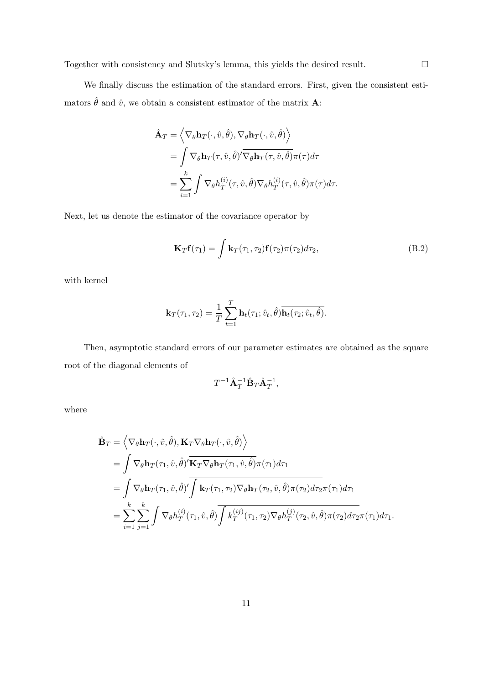We finally discuss the estimation of the standard errors. First, given the consistent estimators  $\hat{\theta}$  and  $\hat{v}$ , we obtain a consistent estimator of the matrix **A**:

$$
\hat{\mathbf{A}}_T = \left\langle \nabla_{\theta} \mathbf{h}_T(\cdot, \hat{v}, \hat{\theta}), \nabla_{\theta} \mathbf{h}_T(\cdot, \hat{v}, \hat{\theta}) \right\rangle \n= \int \nabla_{\theta} \mathbf{h}_T(\tau, \hat{v}, \hat{\theta})' \overline{\nabla_{\theta} \mathbf{h}_T(\tau, \hat{v}, \hat{\theta})} \pi(\tau) d\tau \n= \sum_{i=1}^k \int \nabla_{\theta} h_T^{(i)}(\tau, \hat{v}, \hat{\theta}) \overline{\nabla_{\theta} h_T^{(i)}(\tau, \hat{v}, \hat{\theta})} \pi(\tau) d\tau.
$$

Next, let us denote the estimator of the covariance operator by

$$
\mathbf{K}_T \mathbf{f}(\tau_1) = \int \mathbf{k}_T(\tau_1, \tau_2) \mathbf{f}(\tau_2) \pi(\tau_2) d\tau_2, \tag{B.2}
$$

with kernel

$$
\mathbf{k}_{T}(\tau_1, \tau_2) = \frac{1}{T} \sum_{t=1}^{T} \mathbf{h}_t(\tau_1; \hat{v}_t, \hat{\theta}) \overline{\mathbf{h}_t(\tau_2; \hat{v}_t, \hat{\theta})}.
$$

Then, asymptotic standard errors of our parameter estimates are obtained as the square root of the diagonal elements of

$$
T^{-1}\hat{\mathbf{A}}_T^{-1}\hat{\mathbf{B}}_T\hat{\mathbf{A}}_T^{-1},
$$

where

$$
\hat{\mathbf{B}}_{T} = \left\langle \nabla_{\theta} \mathbf{h}_{T}(\cdot, \hat{v}, \hat{\theta}), \mathbf{K}_{T} \nabla_{\theta} \mathbf{h}_{T}(\cdot, \hat{v}, \hat{\theta}) \right\rangle \n= \int \nabla_{\theta} \mathbf{h}_{T}(\tau_{1}, \hat{v}, \hat{\theta})' \overline{\mathbf{K}_{T} \nabla_{\theta} \mathbf{h}_{T}(\tau_{1}, \hat{v}, \hat{\theta})} \pi(\tau_{1}) d\tau_{1} \n= \int \nabla_{\theta} \mathbf{h}_{T}(\tau_{1}, \hat{v}, \hat{\theta})' \overline{\int \mathbf{k}_{T}(\tau_{1}, \tau_{2}) \nabla_{\theta} \mathbf{h}_{T}(\tau_{2}, \hat{v}, \hat{\theta})} \pi(\tau_{2}) d\tau_{2} \pi(\tau_{1}) d\tau_{1} \n= \sum_{i=1}^{k} \sum_{j=1}^{k} \int \nabla_{\theta} h_{T}^{(i)}(\tau_{1}, \hat{v}, \hat{\theta}) \overline{\int k_{T}^{(ij)}(\tau_{1}, \tau_{2}) \nabla_{\theta} h_{T}^{(j)}(\tau_{2}, \hat{v}, \hat{\theta})} \pi(\tau_{2}) d\tau_{2} \pi(\tau_{1}) d\tau_{1}.
$$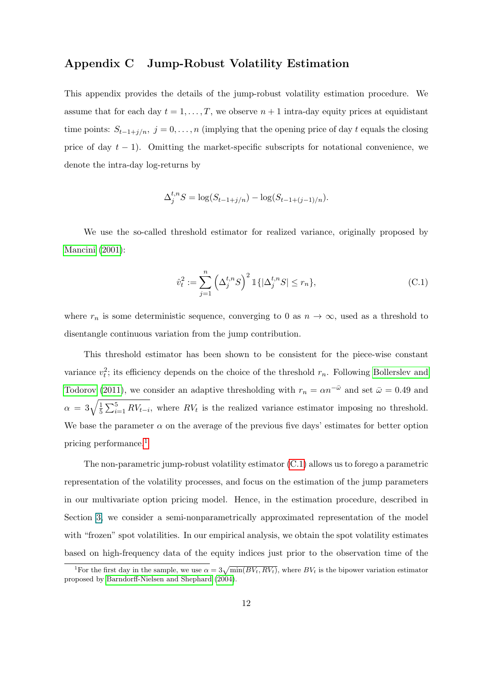# Appendix C Jump-Robust Volatility Estimation

This appendix provides the details of the jump-robust volatility estimation procedure. We assume that for each day  $t = 1, \ldots, T$ , we observe  $n + 1$  intra-day equity prices at equidistant time points:  $S_{t-1+j/n}, j=0,\ldots,n$  (implying that the opening price of day t equals the closing price of day  $t - 1$ ). Omitting the market-specific subscripts for notational convenience, we denote the intra-day log-returns by

$$
\Delta_j^{t,n} S = \log(S_{t-1+j/n}) - \log(S_{t-1+(j-1)/n}).
$$

We use the so-called threshold estimator for realized variance, originally proposed by [Mancini](#page-17-6) [\(2001\)](#page-17-6):

<span id="page-11-1"></span>
$$
\hat{v}_t^2 := \sum_{j=1}^n \left(\Delta_j^{t,n} S\right)^2 \mathbb{1}\{|\Delta_j^{t,n} S| \le r_n\},\tag{C.1}
$$

where  $r_n$  is some deterministic sequence, converging to 0 as  $n \to \infty$ , used as a threshold to disentangle continuous variation from the jump contribution.

This threshold estimator has been shown to be consistent for the piece-wise constant variance  $v_t^2$ ; its efficiency depends on the choice of the threshold  $r_n$ . Following [Bollerslev and](#page-17-7) [Todorov](#page-17-7) [\(2011\)](#page-17-7), we consider an adaptive thresholding with  $r_n = \alpha n^{-\bar{\omega}}$  and set  $\bar{\omega} = 0.49$  and  $\alpha = 3\sqrt{\frac{1}{5}}$  $\frac{1}{5}\sum_{i=1}^{5} RV_{t-i}$ , where  $RV_t$  is the realized variance estimator imposing no threshold. We base the parameter  $\alpha$  on the average of the previous five days' estimates for better option pricing performance.[1](#page-11-0)

The non-parametric jump-robust volatility estimator [\(C.1\)](#page-11-1) allows us to forego a parametric representation of the volatility processes, and focus on the estimation of the jump parameters in our multivariate option pricing model. Hence, in the estimation procedure, described in Section 3, we consider a semi-nonparametrically approximated representation of the model with "frozen" spot volatilities. In our empirical analysis, we obtain the spot volatility estimates based on high-frequency data of the equity indices just prior to the observation time of the

<span id="page-11-0"></span><sup>&</sup>lt;sup>1</sup>For the first day in the sample, we use  $\alpha = 3\sqrt{\min(BV_t, RV_t)}$ , where  $BV_t$  is the bipower variation estimator proposed by [Barndorff-Nielsen and Shephard](#page-17-8) [\(2004\)](#page-17-8).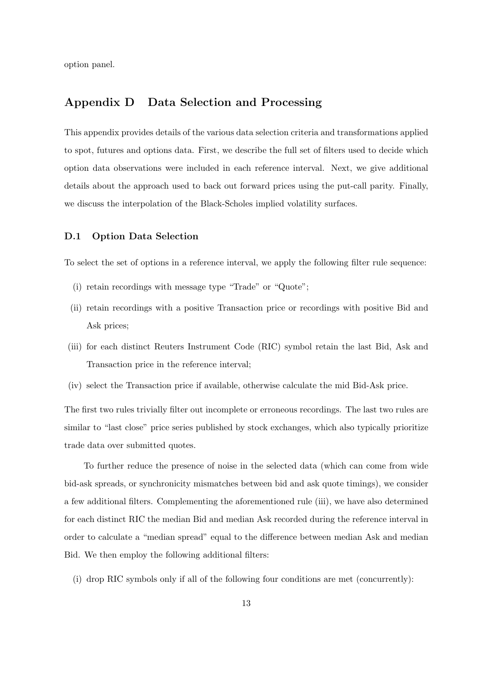option panel.

# Appendix D Data Selection and Processing

This appendix provides details of the various data selection criteria and transformations applied to spot, futures and options data. First, we describe the full set of filters used to decide which option data observations were included in each reference interval. Next, we give additional details about the approach used to back out forward prices using the put-call parity. Finally, we discuss the interpolation of the Black-Scholes implied volatility surfaces.

#### D.1 Option Data Selection

To select the set of options in a reference interval, we apply the following filter rule sequence:

- (i) retain recordings with message type "Trade" or "Quote";
- (ii) retain recordings with a positive Transaction price or recordings with positive Bid and Ask prices;
- (iii) for each distinct Reuters Instrument Code (RIC) symbol retain the last Bid, Ask and Transaction price in the reference interval;
- (iv) select the Transaction price if available, otherwise calculate the mid Bid-Ask price.

The first two rules trivially filter out incomplete or erroneous recordings. The last two rules are similar to "last close" price series published by stock exchanges, which also typically prioritize trade data over submitted quotes.

To further reduce the presence of noise in the selected data (which can come from wide bid-ask spreads, or synchronicity mismatches between bid and ask quote timings), we consider a few additional filters. Complementing the aforementioned rule (iii), we have also determined for each distinct RIC the median Bid and median Ask recorded during the reference interval in order to calculate a "median spread" equal to the difference between median Ask and median Bid. We then employ the following additional filters:

(i) drop RIC symbols only if all of the following four conditions are met (concurrently):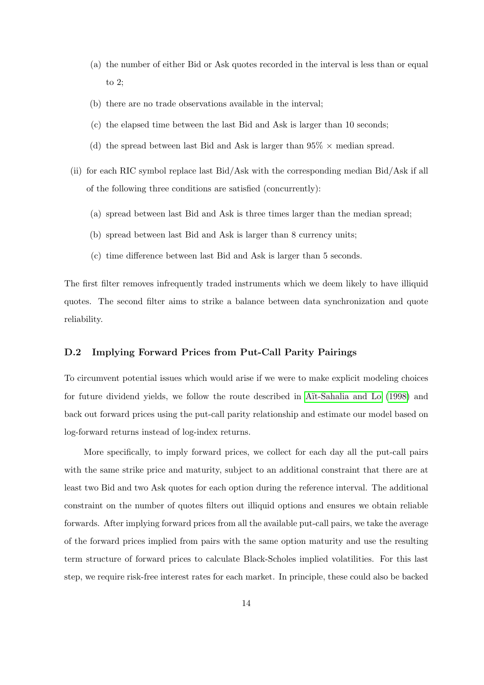- (a) the number of either Bid or Ask quotes recorded in the interval is less than or equal to 2;
- (b) there are no trade observations available in the interval;
- (c) the elapsed time between the last Bid and Ask is larger than 10 seconds;
- (d) the spread between last Bid and Ask is larger than  $95\% \times$  median spread.
- (ii) for each RIC symbol replace last Bid/Ask with the corresponding median Bid/Ask if all of the following three conditions are satisfied (concurrently):
	- (a) spread between last Bid and Ask is three times larger than the median spread;
	- (b) spread between last Bid and Ask is larger than 8 currency units;
	- (c) time difference between last Bid and Ask is larger than 5 seconds.

The first filter removes infrequently traded instruments which we deem likely to have illiquid quotes. The second filter aims to strike a balance between data synchronization and quote reliability.

### D.2 Implying Forward Prices from Put-Call Parity Pairings

To circumvent potential issues which would arise if we were to make explicit modeling choices for future dividend yields, we follow the route described in Aït-Sahalia and Lo [\(1998\)](#page-17-9) and back out forward prices using the put-call parity relationship and estimate our model based on log-forward returns instead of log-index returns.

More specifically, to imply forward prices, we collect for each day all the put-call pairs with the same strike price and maturity, subject to an additional constraint that there are at least two Bid and two Ask quotes for each option during the reference interval. The additional constraint on the number of quotes filters out illiquid options and ensures we obtain reliable forwards. After implying forward prices from all the available put-call pairs, we take the average of the forward prices implied from pairs with the same option maturity and use the resulting term structure of forward prices to calculate Black-Scholes implied volatilities. For this last step, we require risk-free interest rates for each market. In principle, these could also be backed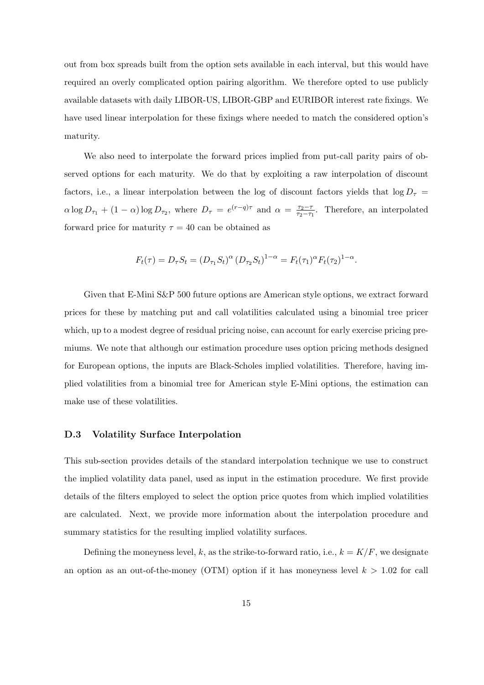out from box spreads built from the option sets available in each interval, but this would have required an overly complicated option pairing algorithm. We therefore opted to use publicly available datasets with daily LIBOR-US, LIBOR-GBP and EURIBOR interest rate fixings. We have used linear interpolation for these fixings where needed to match the considered option's maturity.

We also need to interpolate the forward prices implied from put-call parity pairs of observed options for each maturity. We do that by exploiting a raw interpolation of discount factors, i.e., a linear interpolation between the log of discount factors yields that  $\log D_{\tau}$  =  $\alpha \log D_{\tau_1} + (1 - \alpha) \log D_{\tau_2}$ , where  $D_{\tau} = e^{(r - q)\tau}$  and  $\alpha = \frac{\tau_2 - \tau_1}{\tau_2 - \tau_2}$  $\frac{\tau_2-\tau}{\tau_2-\tau_1}$ . Therefore, an interpolated forward price for maturity  $\tau = 40$  can be obtained as

$$
F_t(\tau) = D_\tau S_t = (D_{\tau_1} S_t)^\alpha (D_{\tau_2} S_t)^{1-\alpha} = F_t(\tau_1)^\alpha F_t(\tau_2)^{1-\alpha}.
$$

Given that E-Mini S&P 500 future options are American style options, we extract forward prices for these by matching put and call volatilities calculated using a binomial tree pricer which, up to a modest degree of residual pricing noise, can account for early exercise pricing premiums. We note that although our estimation procedure uses option pricing methods designed for European options, the inputs are Black-Scholes implied volatilities. Therefore, having implied volatilities from a binomial tree for American style E-Mini options, the estimation can make use of these volatilities.

#### D.3 Volatility Surface Interpolation

This sub-section provides details of the standard interpolation technique we use to construct the implied volatility data panel, used as input in the estimation procedure. We first provide details of the filters employed to select the option price quotes from which implied volatilities are calculated. Next, we provide more information about the interpolation procedure and summary statistics for the resulting implied volatility surfaces.

Defining the moneyness level, k, as the strike-to-forward ratio, i.e.,  $k = K/F$ , we designate an option as an out-of-the-money (OTM) option if it has moneyness level  $k > 1.02$  for call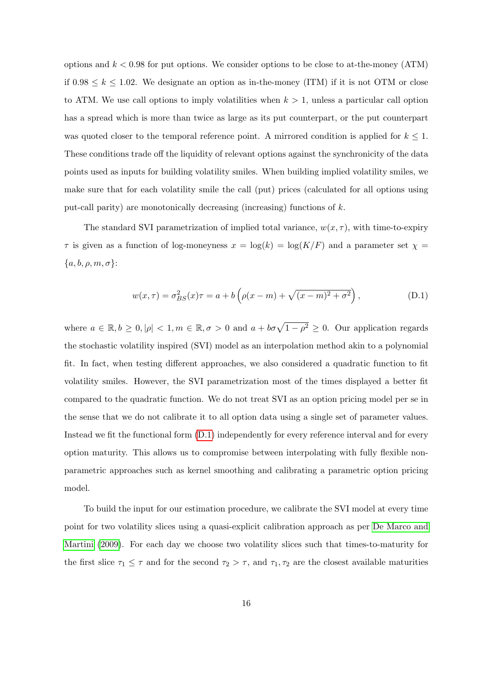options and  $k < 0.98$  for put options. We consider options to be close to at-the-money (ATM) if  $0.98 \leq k \leq 1.02$ . We designate an option as in-the-money (ITM) if it is not OTM or close to ATM. We use call options to imply volatilities when  $k > 1$ , unless a particular call option has a spread which is more than twice as large as its put counterpart, or the put counterpart was quoted closer to the temporal reference point. A mirrored condition is applied for  $k \leq 1$ . These conditions trade off the liquidity of relevant options against the synchronicity of the data points used as inputs for building volatility smiles. When building implied volatility smiles, we make sure that for each volatility smile the call (put) prices (calculated for all options using put-call parity) are monotonically decreasing (increasing) functions of  $k$ .

The standard SVI parametrization of implied total variance,  $w(x, \tau)$ , with time-to-expiry  $\tau$  is given as a function of log-moneyness  $x = \log(k) = \log(K/F)$  and a parameter set  $\chi =$  ${a, b, \rho, m, \sigma}$ :

<span id="page-15-0"></span>
$$
w(x,\tau) = \sigma_{BS}^2(x)\tau = a + b\left(\rho(x-m) + \sqrt{(x-m)^2 + \sigma^2}\right),
$$
 (D.1)

where  $a \in \mathbb{R}, b \ge 0, |\rho| < 1, m \in \mathbb{R}, \sigma > 0$  and  $a + b\sigma\sqrt{1-\rho^2} \ge 0$ . Our application regards the stochastic volatility inspired (SVI) model as an interpolation method akin to a polynomial fit. In fact, when testing different approaches, we also considered a quadratic function to fit volatility smiles. However, the SVI parametrization most of the times displayed a better fit compared to the quadratic function. We do not treat SVI as an option pricing model per se in the sense that we do not calibrate it to all option data using a single set of parameter values. Instead we fit the functional form [\(D.1\)](#page-15-0) independently for every reference interval and for every option maturity. This allows us to compromise between interpolating with fully flexible nonparametric approaches such as kernel smoothing and calibrating a parametric option pricing model.

To build the input for our estimation procedure, we calibrate the SVI model at every time point for two volatility slices using a quasi-explicit calibration approach as per [De Marco and](#page-17-10) [Martini](#page-17-10) [\(2009\)](#page-17-10). For each day we choose two volatility slices such that times-to-maturity for the first slice  $\tau_1 \leq \tau$  and for the second  $\tau_2 > \tau$ , and  $\tau_1, \tau_2$  are the closest available maturities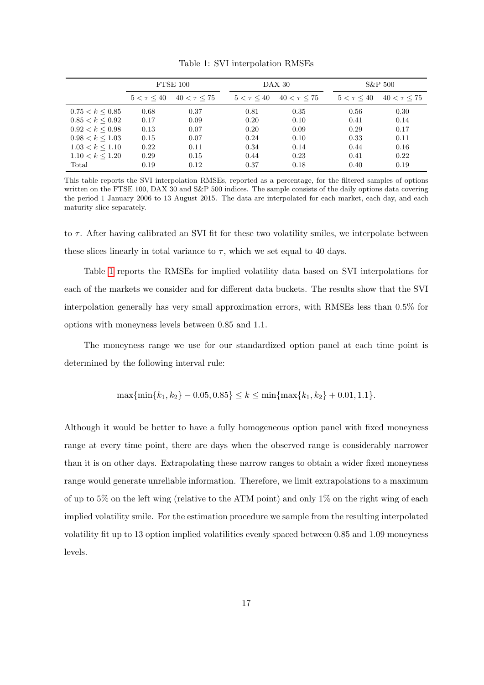<span id="page-16-0"></span>

|                      | FTSE 100        |                  | DAX 30          |                  |  | $S\&P 500$      |                  |
|----------------------|-----------------|------------------|-----------------|------------------|--|-----------------|------------------|
|                      | $5 < \tau < 40$ | $40 < \tau < 75$ | $5 < \tau < 40$ | $40 < \tau < 75$ |  | $5 < \tau < 40$ | $40 < \tau < 75$ |
| $0.75 < k \leq 0.85$ | 0.68            | 0.37             | 0.81            | 0.35             |  | 0.56            | 0.30             |
| $0.85 < k \leq 0.92$ | 0.17            | 0.09             | 0.20            | 0.10             |  | 0.41            | 0.14             |
| 0.92 < k < 0.98      | 0.13            | 0.07             | 0.20            | 0.09             |  | 0.29            | 0.17             |
| $0.98 < k \leq 1.03$ | 0.15            | 0.07             | 0.24            | 0.10             |  | 0.33            | 0.11             |
| $1.03 < k \leq 1.10$ | 0.22            | 0.11             | 0.34            | 0.14             |  | 0.44            | 0.16             |
| $1.10 < k \leq 1.20$ | 0.29            | 0.15             | 0.44            | 0.23             |  | 0.41            | 0.22             |
| Total                | 0.19            | 0.12             | 0.37            | 0.18             |  | 0.40            | 0.19             |

Table 1: SVI interpolation RMSEs

This table reports the SVI interpolation RMSEs, reported as a percentage, for the filtered samples of options written on the FTSE 100, DAX 30 and S&P 500 indices. The sample consists of the daily options data covering the period 1 January 2006 to 13 August 2015. The data are interpolated for each market, each day, and each maturity slice separately.

to  $\tau$ . After having calibrated an SVI fit for these two volatility smiles, we interpolate between these slices linearly in total variance to  $\tau$ , which we set equal to 40 days.

Table [1](#page-16-0) reports the RMSEs for implied volatility data based on SVI interpolations for each of the markets we consider and for different data buckets. The results show that the SVI interpolation generally has very small approximation errors, with RMSEs less than 0.5% for options with moneyness levels between 0.85 and 1.1.

The moneyness range we use for our standardized option panel at each time point is determined by the following interval rule:

$$
\max\{\min\{k_1, k_2\} - 0.05, 0.85\} \le k \le \min\{\max\{k_1, k_2\} + 0.01, 1.1\}.
$$

Although it would be better to have a fully homogeneous option panel with fixed moneyness range at every time point, there are days when the observed range is considerably narrower than it is on other days. Extrapolating these narrow ranges to obtain a wider fixed moneyness range would generate unreliable information. Therefore, we limit extrapolations to a maximum of up to 5% on the left wing (relative to the ATM point) and only 1% on the right wing of each implied volatility smile. For the estimation procedure we sample from the resulting interpolated volatility fit up to 13 option implied volatilities evenly spaced between 0.85 and 1.09 moneyness levels.